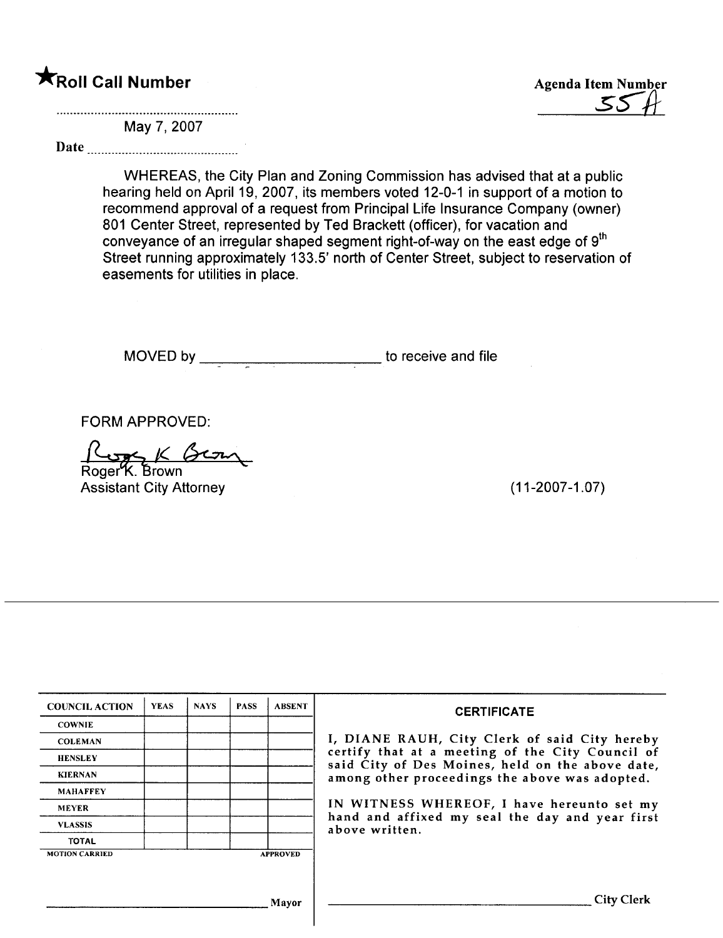**\*Roll Call Number** Agenda Item Number Agenda Item Number Agenda Item Number structured and the Number of Agenda Item Number of Agenda Item Number of Agenda Item Number of Agenda Item Number of Agenda Item Number of Agenda

May 7, 2007

Date

WHEREAS, the City Plan and Zoning Commission has advised that at a public hearing held on April 19, 2007, its members voted 12-0-1 in support of a motion to recommend approval of a request from Principal Life Insurance Company (owner) 801 Center Street, represented by Ted Brackett (officer), for vacation and conveyance of an irregular shaped segment right-of-way on the east edge of 9<sup>th</sup> Street running approximately 133.5' north of Center Street, subject to reservation of easements for utilities in place.

MOVED by \_\_\_\_\_\_\_\_\_\_\_\_\_\_\_\_\_\_\_\_\_\_\_\_\_\_\_\_\_\_\_to receive and file

FORM APPROVED:<br> $\frac{\beta_{\text{cyc}}}{\beta_{\text{Cyc}}}\times \beta_{\text{Cyc}}$ 

Assistant City Attorney (11-2007-1.07)

| <b>COUNCIL ACTION</b> | <b>YEAS</b> | <b>NAYS</b> | <b>PASS</b> | <b>ABSENT</b>   | <b>CERTIFICATE</b>                                                                                   |
|-----------------------|-------------|-------------|-------------|-----------------|------------------------------------------------------------------------------------------------------|
| <b>COWNIE</b>         |             |             |             |                 |                                                                                                      |
| <b>COLEMAN</b>        |             |             |             |                 | I, DIANE RAUH, City Clerk of said City hereby                                                        |
| <b>HENSLEY</b>        |             |             |             |                 | certify that at a meeting of the City Council of<br>said City of Des Moines, held on the above date, |
| <b>KIERNAN</b>        |             |             |             |                 | among other proceedings the above was adopted.                                                       |
| <b>MAHAFFEY</b>       |             |             |             |                 |                                                                                                      |
| <b>MEYER</b>          |             |             |             |                 | IN WITNESS WHEREOF, I have hereunto set my                                                           |
| <b>VLASSIS</b>        |             |             |             |                 | hand and affixed my seal the day and year first<br>above written.                                    |
| <b>TOTAL</b>          |             |             |             |                 |                                                                                                      |
| <b>MOTION CARRIED</b> |             |             |             | <b>APPROVED</b> |                                                                                                      |
|                       |             |             |             |                 |                                                                                                      |
|                       |             |             |             |                 |                                                                                                      |
|                       |             |             |             | Mayor           | City Clerk                                                                                           |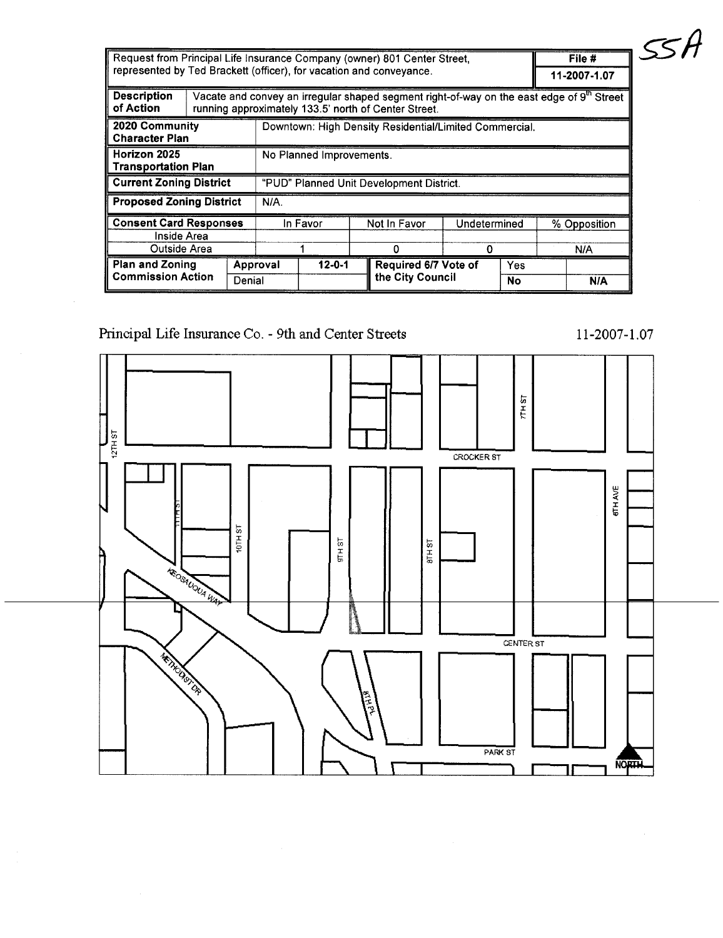| Request from Principal Life Insurance Company (owner) 801 Center Street,<br>represented by Ted Brackett (officer), for vacation and conveyance. |  |                          |          |              |  |                                                        |                   |                  | File #<br>11-2007-1.07                                                                                |
|-------------------------------------------------------------------------------------------------------------------------------------------------|--|--------------------------|----------|--------------|--|--------------------------------------------------------|-------------------|------------------|-------------------------------------------------------------------------------------------------------|
| <b>Description</b><br>of Action                                                                                                                 |  |                          |          |              |  | running approximately 133.5' north of Center Street.   |                   |                  | Vacate and convey an irregular shaped segment right-of-way on the east edge of 9 <sup>th</sup> Street |
| 2020 Community<br><b>Character Plan</b>                                                                                                         |  |                          |          |              |  | Downtown: High Density Residential/Limited Commercial. |                   |                  |                                                                                                       |
| Horizon 2025<br><b>Transportation Plan</b>                                                                                                      |  | No Planned Improvements. |          |              |  |                                                        |                   |                  |                                                                                                       |
| <b>Current Zoning District</b>                                                                                                                  |  |                          |          |              |  | "PUD" Planned Unit Development District.               |                   |                  |                                                                                                       |
| <b>Proposed Zoning District</b>                                                                                                                 |  |                          | N/A.     |              |  |                                                        |                   |                  |                                                                                                       |
| <b>Consent Card Responses</b><br>Inside Area<br>Outside Area                                                                                    |  |                          |          | In Favor     |  | Not In Favor<br>0                                      | Undetermined<br>0 |                  | % Opposition<br>N/A                                                                                   |
| <b>Plan and Zoning</b><br><b>Commission Action</b>                                                                                              |  | Denial                   | Approval | $12 - 0 - 1$ |  | Required 6/7 Vote of<br>the City Council               |                   | Yes<br><b>No</b> | N/A                                                                                                   |

# Principal Life Insurance Co. - 9th and Center Streets



 $11 - 2007 - 1.07$ 

 $551$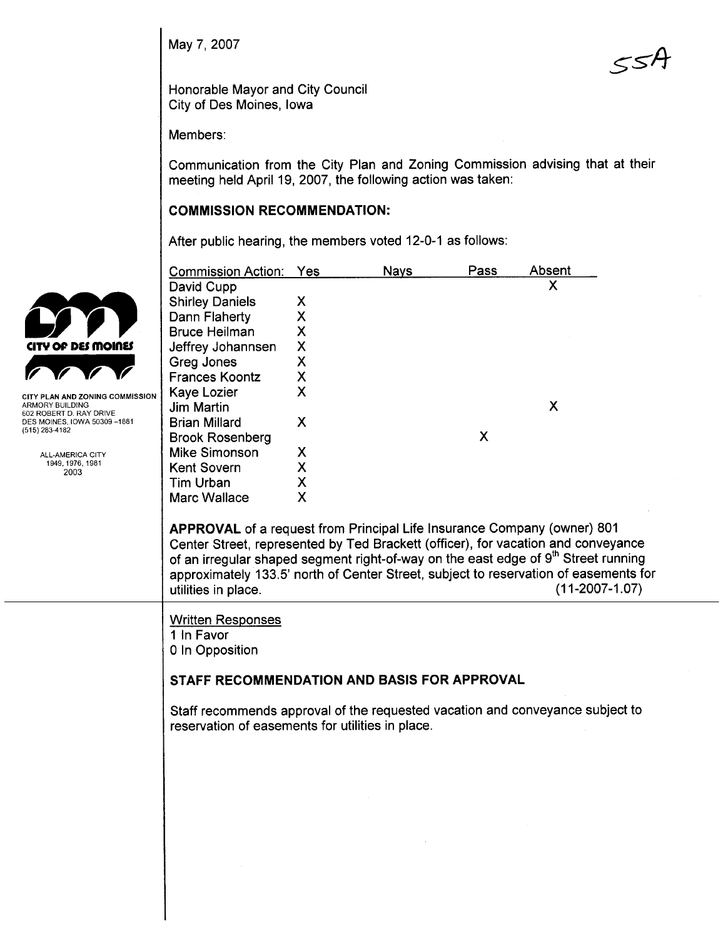May 7, 2007

 $55A$ 

Honorable Mayor and City Council City of Des Moines, Iowa

Members:

Communication from the City Plan and Zoning Commission advising that at their meeting held April 19, 2007, the following action was taken:

# COMMISSION RECOMMENDATION:

After public hearing, the members voted 12-0-1 as follows:

|                                                        | <b>Commission Action:</b>                                                                                                                                                                                                                                       | Yes | <b>Nays</b> | Pass | <b>Absent</b>                                                                                                                                                                                                                                                                                   |
|--------------------------------------------------------|-----------------------------------------------------------------------------------------------------------------------------------------------------------------------------------------------------------------------------------------------------------------|-----|-------------|------|-------------------------------------------------------------------------------------------------------------------------------------------------------------------------------------------------------------------------------------------------------------------------------------------------|
|                                                        | David Cupp                                                                                                                                                                                                                                                      |     |             |      | x                                                                                                                                                                                                                                                                                               |
|                                                        | <b>Shirley Daniels</b>                                                                                                                                                                                                                                          | X   |             |      |                                                                                                                                                                                                                                                                                                 |
|                                                        | Dann Flaherty                                                                                                                                                                                                                                                   | X   |             |      |                                                                                                                                                                                                                                                                                                 |
|                                                        | <b>Bruce Heilman</b>                                                                                                                                                                                                                                            | X   |             |      |                                                                                                                                                                                                                                                                                                 |
| CITY OF DES MOINES                                     | Jeffrey Johannsen                                                                                                                                                                                                                                               | X   |             |      |                                                                                                                                                                                                                                                                                                 |
|                                                        | Greg Jones                                                                                                                                                                                                                                                      | Χ   |             |      |                                                                                                                                                                                                                                                                                                 |
|                                                        | <b>Frances Koontz</b>                                                                                                                                                                                                                                           | Χ   |             |      |                                                                                                                                                                                                                                                                                                 |
| <b>CITY PLAN AND ZONING COMMISSION</b>                 | Kaye Lozier                                                                                                                                                                                                                                                     | X   |             |      |                                                                                                                                                                                                                                                                                                 |
| ARMORY BUILDING                                        | Jim Martin                                                                                                                                                                                                                                                      |     |             |      | X                                                                                                                                                                                                                                                                                               |
| 602 ROBERT D. RAY DRIVE<br>DES MOINES, IOWA 50309-1881 | <b>Brian Millard</b>                                                                                                                                                                                                                                            | X   |             |      |                                                                                                                                                                                                                                                                                                 |
| (515) 283-4182                                         | <b>Brook Rosenberg</b>                                                                                                                                                                                                                                          |     |             | X    |                                                                                                                                                                                                                                                                                                 |
| ALL-AMERICA CITY                                       | <b>Mike Simonson</b>                                                                                                                                                                                                                                            | Х   |             |      |                                                                                                                                                                                                                                                                                                 |
| 1949, 1976, 1981<br>2003                               | <b>Kent Sovern</b>                                                                                                                                                                                                                                              | Χ   |             |      |                                                                                                                                                                                                                                                                                                 |
|                                                        | <b>Tim Urban</b>                                                                                                                                                                                                                                                | Χ   |             |      |                                                                                                                                                                                                                                                                                                 |
|                                                        | <b>Marc Wallace</b>                                                                                                                                                                                                                                             | X   |             |      |                                                                                                                                                                                                                                                                                                 |
|                                                        | APPROVAL of a request from Principal Life Insurance Company (owner) 801<br>utilities in place.                                                                                                                                                                  |     |             |      | Center Street, represented by Ted Brackett (officer), for vacation and conveyance<br>of an irregular shaped segment right-of-way on the east edge of 9 <sup>th</sup> Street running<br>approximately 133.5' north of Center Street, subject to reservation of easements for<br>$(11-2007-1.07)$ |
|                                                        | <b>Written Responses</b><br>1 In Favor<br>0 In Opposition<br>STAFF RECOMMENDATION AND BASIS FOR APPROVAL<br>Staff recommends approval of the requested vacation and conveyance subject to<br>reservation of easements for utilities in place.<br>$\sim 10^{11}$ |     |             |      | $\sim 1000$ km s $^{-1}$                                                                                                                                                                                                                                                                        |
|                                                        |                                                                                                                                                                                                                                                                 |     |             |      |                                                                                                                                                                                                                                                                                                 |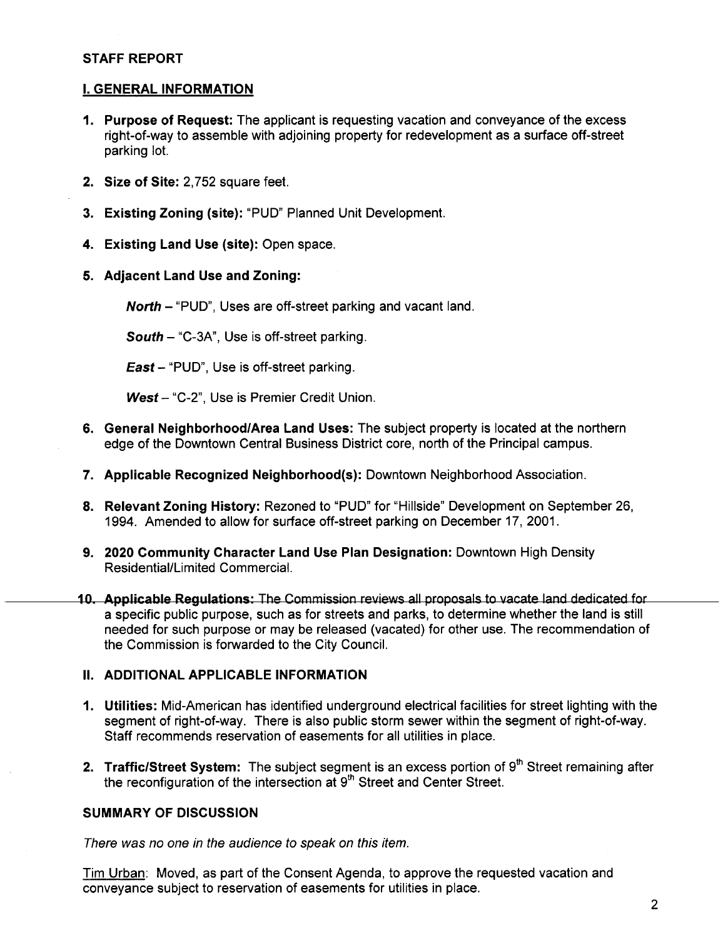### STAFF REPORT

### i. GENERAL INFORMATION

- 1. Purpose of Request: The applicant is requesting vacation and conveyance of the excess right-of-way to assemble with adjoining property for redevelopment as a surface off-street parking lot.
- 2. Size of Site: 2,752 square feet.
- 3. Existing Zoning (site): "PUD" Planned Unit Development.
- 4. Existing Land Use (site): Open space.
- 5. Adjacent Land Use and Zoning:

North - "PUD", Uses are off-street parking and vacant land.

South - "C-3A", Use is off-street parking.

East - "PUD", Use is off-street parking.

West- "C-2", Use is Premier Credit Union.

- 6. General Neighborhood/Area Land Uses: The subject property is located at the northern edge of the Downtown Central Business District core, north of the Principal campus.
- 7. Applicable Recognized Neighborhood(s): Downtown Neighborhood Association.
- 8. Relevant Zoning History: Rezoned to "PUD" for "Hillside" Development on September 26, 1994. Amended to allow for surface off-street parking on December 17, 2001.
- 9. 2020 Community Character Land Use Plan Designation: Downtown High Density Residential/Limited CommerciaL.
- 10. Applicable Regulations: The Commission reviews all proposals to vacate land dedicated for a specific public purpose, such as for streets and parks, to determine whether the land is still needed for such purpose or may be released (vacated) for other use. The recommendation of the Commission is forwarded to the City CounciL.

# II. ADDITIONAL APPLICABLE INFORMATION

- 1. Utilties: Mid-American has identified underground electrical facilities for street lighting with the segment of right-of-way. There is also public storm sewer within the segment of right-of-way. Staff recommends reservation of easements for all utilities in place.
- 2. Traffic/Street System: The subject segment is an excess portion of  $9<sup>th</sup>$  Street remaining after the reconfiguration of the intersection at  $9<sup>th</sup>$  Street and Center Street.

# SUMMARY OF DISCUSSION

There was no one in the audience to speak on this item.

Tim Urban: Moved, as part of the Consent Agenda, to approve the requested vacation and conveyance subject to reservation of easements for utilities in place.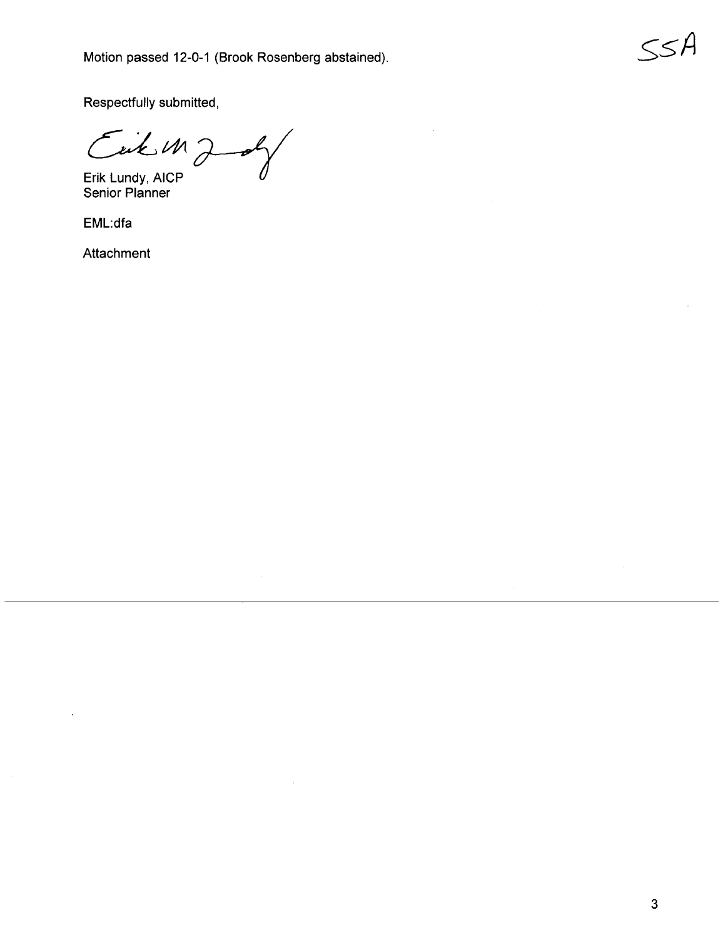Respectfully submitted,

 $C$   $i \neq M$   $\rightarrow$ 

Erik Lundy, AICP  $\qquad \qquad \, U~$ Erik Lundy, AICP<br>Senior Planner

EML:dfa

Attachment